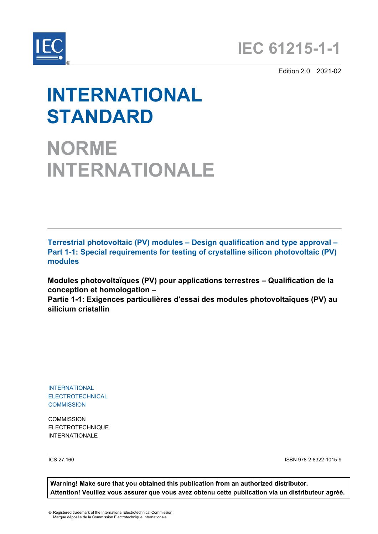

Edition 2.0 2021-02

# **INTERNATIONAL STANDARD**

# **NORME INTERNATIONALE**

**Terrestrial photovoltaic (PV) modules – Design qualification and type approval – Part 1-1: Special requirements for testing of crystalline silicon photovoltaic (PV) modules** 

**Modules photovoltaïques (PV) pour applications terrestres – Qualification de la conception et homologation –** 

**Partie 1-1: Exigences particulières d'essai des modules photovoltaïques (PV) au silicium cristallin**

INTERNATIONAL ELECTROTECHNICAL **COMMISSION** 

**COMMISSION** ELECTROTECHNIQUE INTERNATIONALE

ICS 27.160 ISBN 978-2-8322-1015-9

**Warning! Make sure that you obtained this publication from an authorized distributor. Attention! Veuillez vous assurer que vous avez obtenu cette publication via un distributeur agréé.**

® Registered trademark of the International Electrotechnical Commission Marque déposée de la Commission Electrotechnique Internationale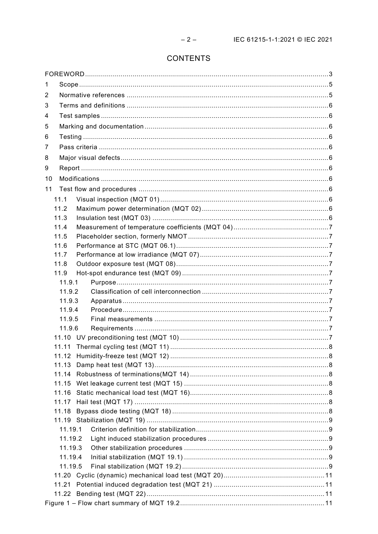# CONTENTS

| 1  |                |  |
|----|----------------|--|
| 2  |                |  |
| 3  |                |  |
| 4  |                |  |
| 5  |                |  |
| 6  |                |  |
| 7  |                |  |
|    |                |  |
| 8  |                |  |
| 9  |                |  |
| 10 |                |  |
| 11 |                |  |
|    | 11.1           |  |
|    | 11.2           |  |
|    | 11.3           |  |
|    | 11.4           |  |
|    | 11.5           |  |
|    | 11.6           |  |
|    | 11.7           |  |
|    | 11.8           |  |
|    | 11.9           |  |
|    | 11.9.1         |  |
|    | 11.9.2         |  |
|    | 11.9.3         |  |
|    | 11.9.4         |  |
|    | 11.9.5         |  |
|    | 11.9.6         |  |
|    |                |  |
|    | 11.11          |  |
|    |                |  |
|    | 11.13<br>11.14 |  |
|    | 11.15          |  |
|    | 11.16          |  |
|    | 11.17          |  |
|    | 11.18          |  |
|    |                |  |
|    | 11.19.1        |  |
|    | 11.19.2        |  |
|    | 11.19.3        |  |
|    | 11.19.4        |  |
|    | 11.19.5        |  |
|    |                |  |
|    |                |  |
|    |                |  |
|    |                |  |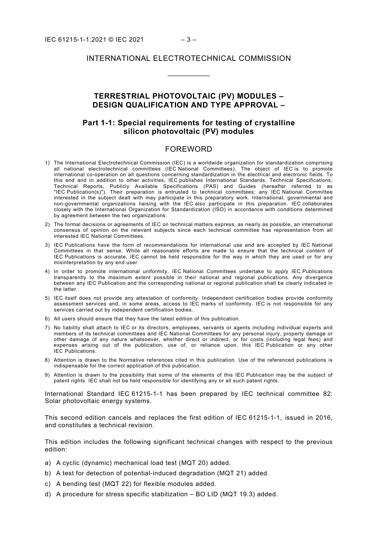#### INTERNATIONAL ELECTROTECHNICAL COMMISSION

\_\_\_\_\_\_\_\_\_\_\_\_

## **TERRESTRIAL PHOTOVOLTAIC (PV) MODULES – DESIGN QUALIFICATION AND TYPE APPROVAL –**

#### **Part 1-1: Special requirements for testing of crystalline silicon photovoltaic (PV) modules**

#### FOREWORD

- <span id="page-2-0"></span>1) The International Electrotechnical Commission (IEC) is a worldwide organization for standardization comprising all national electrotechnical committees (IEC National Committees). The object of IEC is to promote international co-operation on all questions concerning standardization in the electrical and electronic fields. To this end and in addition to other activities, IEC publishes International Standards, Technical Specifications, Technical Reports, Publicly Available Specifications (PAS) and Guides (hereafter referred to as "IEC Publication(s)"). Their preparation is entrusted to technical committees; any IEC National Committee interested in the subject dealt with may participate in this preparatory work. International, governmental and non-governmental organizations liaising with the IEC also participate in this preparation. IEC collaborates closely with the International Organization for Standardization (ISO) in accordance with conditions determined by agreement between the two organizations.
- 2) The formal decisions or agreements of IEC on technical matters express, as nearly as possible, an international consensus of opinion on the relevant subjects since each technical committee has representation from all interested IEC National Committees.
- 3) IEC Publications have the form of recommendations for international use and are accepted by IEC National Committees in that sense. While all reasonable efforts are made to ensure that the technical content of IEC Publications is accurate, IEC cannot be held responsible for the way in which they are used or for any misinterpretation by any end user.
- 4) In order to promote international uniformity, IEC National Committees undertake to apply IEC Publications transparently to the maximum extent possible in their national and regional publications. Any divergence between any IEC Publication and the corresponding national or regional publication shall be clearly indicated in the latter.
- 5) IEC itself does not provide any attestation of conformity. Independent certification bodies provide conformity assessment services and, in some areas, access to IEC marks of conformity. IEC is not responsible for any services carried out by independent certification bodies.
- 6) All users should ensure that they have the latest edition of this publication.
- 7) No liability shall attach to IEC or its directors, employees, servants or agents including individual experts and members of its technical committees and IEC National Committees for any personal injury, property damage or other damage of any nature whatsoever, whether direct or indirect, or for costs (including legal fees) and expenses arising out of the publication, use of, or reliance upon, this IEC Publication or any other IEC Publications.
- 8) Attention is drawn to the Normative references cited in this publication. Use of the referenced publications is indispensable for the correct application of this publication.
- 9) Attention is drawn to the possibility that some of the elements of this IEC Publication may be the subject of patent rights. IEC shall not be held responsible for identifying any or all such patent rights.

International Standard IEC 61215-1-1 has been prepared by IEC technical committee 82: Solar photovoltaic energy systems.

This second edition cancels and replaces the first edition of IEC 61215-1-1, issued in 2016, and constitutes a technical revision.

This edition includes the following significant technical changes with respect to the previous edition:

- a) A cyclic (dynamic) mechanical load test (MQT 20) added.
- b) A test for detection of potential-induced degradation (MQT 21) added.
- c) A bending test (MQT 22) for flexible modules added.
- d) A procedure for stress specific stabilization BO LID (MQT 19.3) added.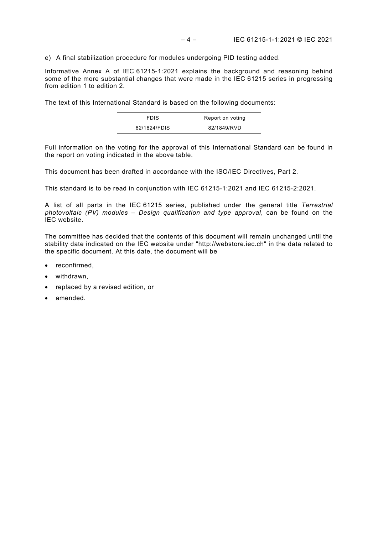e) A final stabilization procedure for modules undergoing PID testing added.

Informative Annex A of IEC 61215-1:2021 explains the background and reasoning behind some of the more substantial changes that were made in the IEC 61215 series in progressing from edition 1 to edition 2.

The text of this International Standard is based on the following documents:

| <b>FDIS</b>  | Report on voting |
|--------------|------------------|
| 82/1824/FDIS | 82/1849/RVD      |

Full information on the voting for the approval of this International Standard can be found in the report on voting indicated in the above table.

This document has been drafted in accordance with the ISO/IEC Directives, Part 2.

This standard is to be read in conjunction with IEC 61215-1:2021 and IEC 61215-2:2021.

A list of all parts in the IEC 61215 series, published under the general title *Terrestrial photovoltaic (PV) modules – Design qualification and type approval*, can be found on the IEC website.

The committee has decided that the contents of this document will remain unchanged until the stability date indicated on the IEC website under "http://webstore.iec.ch" in the data related to the specific document. At this date, the document will be

- reconfirmed,
- withdrawn,
- replaced by a revised edition, or
- amended.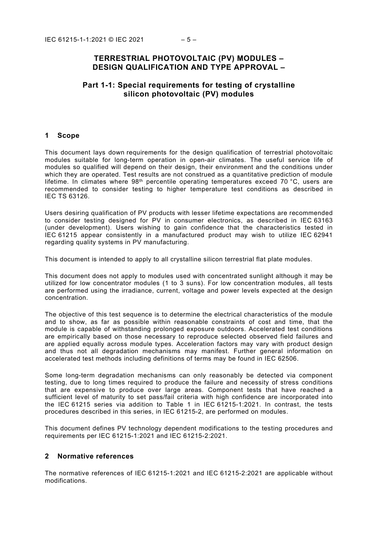## **TERRESTRIAL PHOTOVOLTAIC (PV) MODULES – DESIGN QUALIFICATION AND TYPE APPROVAL –**

# **Part 1-1: Special requirements for testing of crystalline silicon photovoltaic (PV) modules**

#### <span id="page-4-0"></span>**1 Scope**

This document lays down requirements for the design qualification of terrestrial photovoltaic modules suitable for long-term operation in open-air climates. The useful service life of modules so qualified will depend on their design, their environment and the conditions under which they are operated. Test results are not construed as a quantitative prediction of module lifetime. In climates where  $98<sup>th</sup>$  percentile operating temperatures exceed 70 °C, users are recommended to consider testing to higher temperature test conditions as described in IEC TS 63126.

Users desiring qualification of PV products with lesser lifetime expectations are recommended to consider testing designed for PV in consumer electronics, as described in IEC 63163 (under development). Users wishing to gain confidence that the characteristics tested in IEC 61215 appear consistently in a manufactured product may wish to utilize IEC 62941 regarding quality systems in PV manufacturing.

This document is intended to apply to all crystalline silicon terrestrial flat plate modules.

This document does not apply to modules used with concentrated sunlight although it may be utilized for low concentrator modules (1 to 3 suns). For low concentration modules, all tests are performed using the irradiance, current, voltage and power levels expected at the design concentration.

The objective of this test sequence is to determine the electrical characteristics of the module and to show, as far as possible within reasonable constraints of cost and time, that the module is capable of withstanding prolonged exposure outdoors. Accelerated test conditions are empirically based on those necessary to reproduce selected observed field failures and are applied equally across module types. Acceleration factors may vary with product design and thus not all degradation mechanisms may manifest. Further general information on accelerated test methods including definitions of terms may be found in IEC 62506.

Some long-term degradation mechanisms can only reasonably be detected via component testing, due to long times required to produce the failure and necessity of stress conditions that are expensive to produce over large areas. Component tests that have reached a sufficient level of maturity to set pass/fail criteria with high confidence are incorporated into the IEC 61215 series via addition to Table 1 in IEC 61215-1:2021. In contrast, the tests procedures described in this series, in IEC 61215-2, are performed on modules.

This document defines PV technology dependent modifications to the testing procedures and requirements per IEC 61215-1:2021 and IEC 61215-2:2021.

#### <span id="page-4-1"></span>**2 Normative references**

The normative references of IEC 61215-1:2021 and IEC 61215-2:2021 are applicable without modifications.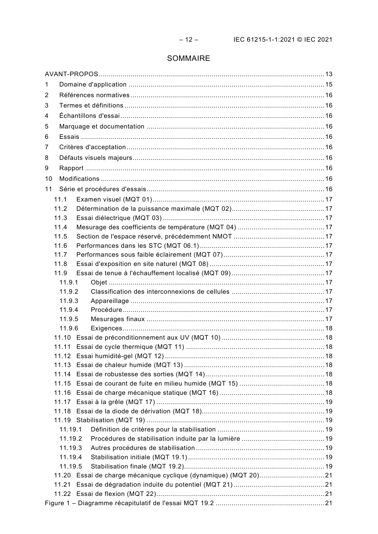# SOMMAIRE

| 1                |  |
|------------------|--|
| 2                |  |
| 3                |  |
| 4                |  |
| 5                |  |
| 6                |  |
| 7                |  |
| 8                |  |
|                  |  |
| 9                |  |
| 10               |  |
| 11               |  |
| 11.1             |  |
| 11.2             |  |
| 11.3             |  |
| 11.4             |  |
| 11.5             |  |
| 11.6             |  |
| 11.7             |  |
| 11.8             |  |
| 11.9             |  |
| 11.9.1           |  |
| 11.9.2<br>11.9.3 |  |
| 11.9.4           |  |
| 11.9.5           |  |
| 11.9.6           |  |
|                  |  |
| 11.11            |  |
|                  |  |
| 11.13            |  |
| 11.14            |  |
| 11.15            |  |
| 11.16            |  |
| 11.17            |  |
| 11.18            |  |
|                  |  |
| 11.19.1          |  |
| 11.19.2          |  |
| 11.19.3          |  |
| 11.19.4          |  |
| 11.19.5          |  |
|                  |  |
| 11.21            |  |
|                  |  |
|                  |  |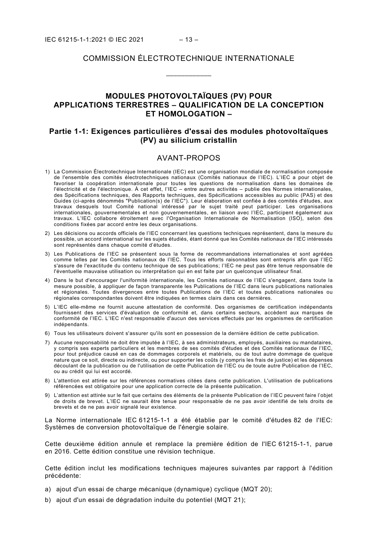#### COMMISSION ÉLECTROTECHNIQUE INTERNATIONALE

\_\_\_\_\_\_\_\_\_\_\_\_

# **MODULES PHOTOVOLTAÏQUES (PV) POUR APPLICATIONS TERRESTRES – QUALIFICATION DE LA CONCEPTION ET HOMOLOGATION –**

### **Partie 1-1: Exigences particulières d'essai des modules photovoltaïques (PV) au silicium cristallin**

#### AVANT-PROPOS

- <span id="page-6-0"></span>1) La Commission Électrotechnique Internationale (IEC) est une organisation mondiale de normalisation composée de l'ensemble des comités électrotechniques nationaux (Comités nationaux de l'IEC). L'IEC a pour objet de favoriser la coopération internationale pour toutes les questions de normalisation dans les domaines de l'électricité et de l'électronique. À cet effet, l'IEC – entre autres activités – publie des Normes internationales, des Spécifications techniques, des Rapports techniques, des Spécifications accessibles au public (PAS) et des Guides (ci-après dénommés "Publication(s) de l'IEC"). Leur élaboration est confiée à des comités d'études, aux travaux desquels tout Comité national intéressé par le sujet traité peut participer. Les organisations internationales, gouvernementales et non gouvernementales, en liaison avec l'IEC, participent également aux travaux. L'IEC collabore étroitement avec l'Organisation Internationale de Normalisation (ISO), selon des conditions fixées par accord entre les deux organisations.
- 2) Les décisions ou accords officiels de l'IEC concernant les questions techniques représentent, dans la mesure du possible, un accord international sur les sujets étudiés, étant donné que les Comités nationaux de l'IEC intéressés sont représentés dans chaque comité d'études.
- 3) Les Publications de l'IEC se présentent sous la forme de recommandations internationales et sont agréées comme telles par les Comités nationaux de l'IEC. Tous les efforts raisonnables sont entrepris afin que l'IEC s'assure de l'exactitude du contenu technique de ses publications; l'IEC ne peut pas être tenue responsable de l'éventuelle mauvaise utilisation ou interprétation qui en est faite par un quelconque utilisateur final.
- 4) Dans le but d'encourager l'uniformité internationale, les Comités nationaux de l'IEC s'engagent, dans toute la mesure possible, à appliquer de façon transparente les Publications de l'IEC dans leurs publications nationales et régionales. Toutes divergences entre toutes Publications de l'IEC et toutes publications nationales ou régionales correspondantes doivent être indiquées en termes clairs dans ces dernières.
- 5) L'IEC elle-même ne fournit aucune attestation de conformité. Des organismes de certification indépendants fournissent des services d'évaluation de conformité et, dans certains secteurs, accèdent aux marques de conformité de l'IEC. L'IEC n'est responsable d'aucun des services effectués par les organismes de certification indépendants.
- 6) Tous les utilisateurs doivent s'assurer qu'ils sont en possession de la dernière édition de cette publication.
- 7) Aucune responsabilité ne doit être imputée à l'IEC, à ses administrateurs, employés, auxiliaires ou mandataires, y compris ses experts particuliers et les membres de ses comités d'études et des Comités nationaux de l'IEC, pour tout préjudice causé en cas de dommages corporels et matériels, ou de tout autre dommage de quelque nature que ce soit, directe ou indirecte, ou pour supporter les coûts (y compris les frais de justice) et les dépenses découlant de la publication ou de l'utilisation de cette Publication de l'IEC ou de toute autre Publication de l'IEC, ou au crédit qui lui est accordé.
- 8) L'attention est attirée sur les références normatives citées dans cette publication. L'utilisation de publications référencées est obligatoire pour une application correcte de la présente publication.
- 9) L'attention est attirée sur le fait que certains des éléments de la présente Publication de l'IEC peuvent faire l'objet de droits de brevet. L'IEC ne saurait être tenue pour responsable de ne pas avoir identifié de tels droits de brevets et de ne pas avoir signalé leur existence.

La Norme internationale IEC 61215-1-1 a été établie par le comité d'études 82 de l'IEC: Systèmes de conversion photovoltaïque de l'énergie solaire.

Cette deuxième édition annule et remplace la première édition de l'IEC 61215-1-1, parue en 2016. Cette édition constitue une révision technique.

Cette édition inclut les modifications techniques majeures suivantes par rapport à l'édition précédente:

- a) ajout d'un essai de charge mécanique (dynamique) cyclique (MQT 20);
- b) ajout d'un essai de dégradation induite du potentiel (MQT 21);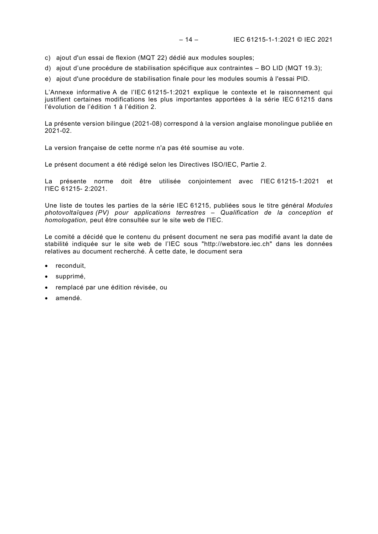- c) ajout d'un essai de flexion (MQT 22) dédié aux modules souples;
- d) ajout d'une procédure de stabilisation spécifique aux contraintes BO LID (MQT 19.3);
- e) ajout d'une procédure de stabilisation finale pour les modules soumis à l'essai PID.

L'Annexe informative A de l'IEC 61215-1:2021 explique le contexte et le raisonnement qui justifient certaines modifications les plus importantes apportées à la série IEC 61215 dans l'évolution de l'édition 1 à l'édition 2.

La présente version bilingue (2021-08) correspond à la version anglaise monolingue publiée en 2021-02.

La version française de cette norme n'a pas été soumise au vote.

Le présent document a été rédigé selon les Directives ISO/IEC, Partie 2.

La présente norme doit être utilisée conjointement avec l'IEC 61215-1:2021 et l'IEC 61215- 2:2021.

Une liste de toutes les parties de la série IEC 61215, publiées sous le titre général *Modules photovoltaïques (PV) pour applications terrestres – Qualification de la conception et homologation,* peut être consultée sur le site web de l'IEC.

Le comité a décidé que le contenu du présent document ne sera pas modifié avant la date de stabilité indiquée sur le site web de l'IEC sous "http://webstore.iec.ch" dans les données relatives au document recherché. À cette date, le document sera

- reconduit,
- supprimé,
- remplacé par une édition révisée, ou
- amendé.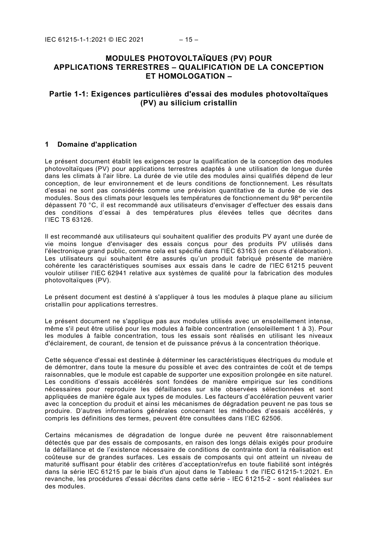# **MODULES PHOTOVOLTAÏQUES (PV) POUR APPLICATIONS TERRESTRES – QUALIFICATION DE LA CONCEPTION ET HOMOLOGATION –**

# **Partie 1-1: Exigences particulières d'essai des modules photovoltaïques (PV) au silicium cristallin**

#### <span id="page-8-0"></span>**1 Domaine d'application**

Le présent document établit les exigences pour la qualification de la conception des modules photovoltaïques (PV) pour applications terrestres adaptés à une utilisation de longue durée dans les climats à l'air libre. La durée de vie utile des modules ainsi qualifiés dépend de leur conception, de leur environnement et de leurs conditions de fonctionnement. Les résultats d'essai ne sont pas considérés comme une prévision quantitative de la durée de vie des modules. Sous des climats pour lesquels les températures de fonctionnement du 98e percentile dépassent 70 °C, il est recommandé aux utilisateurs d'envisager d'effectuer des essais dans des conditions d'essai à des températures plus élevées telles que décrites dans l'IEC TS 63126.

Il est recommandé aux utilisateurs qui souhaitent qualifier des produits PV ayant une durée de vie moins longue d'envisager des essais conçus pour des produits PV utilisés dans l'électronique grand public, comme cela est spécifié dans l'IEC 63163 (en cours d'élaboration). Les utilisateurs qui souhaitent être assurés qu'un produit fabriqué présente de manière cohérente les caractéristiques soumises aux essais dans le cadre de l'IEC 61215 peuvent vouloir utiliser l'IEC 62941 relative aux systèmes de qualité pour la fabrication des modules photovoltaïques (PV).

Le présent document est destiné à s'appliquer à tous les modules à plaque plane au silicium cristallin pour applications terrestres.

Le présent document ne s'applique pas aux modules utilisés avec un ensoleillement intense, même s'il peut être utilisé pour les modules à faible concentration (ensoleillement 1 à 3). Pour les modules à faible concentration, tous les essais sont réalisés en utilisant les niveaux d'éclairement, de courant, de tension et de puissance prévus à la concentration théorique.

Cette séquence d'essai est destinée à déterminer les caractéristiques électriques du module et de démontrer, dans toute la mesure du possible et avec des contraintes de coût et de temps raisonnables, que le module est capable de supporter une exposition prolongée en site naturel. Les conditions d'essais accélérés sont fondées de manière empirique sur les conditions nécessaires pour reproduire les défaillances sur site observées sélectionnées et sont appliquées de manière égale aux types de modules. Les facteurs d'accélération peuvent varier avec la conception du produit et ainsi les mécanismes de dégradation peuvent ne pas tous se produire. D'autres informations générales concernant les méthodes d'essais accélérés, y compris les définitions des termes, peuvent être consultées dans l'IEC 62506.

Certains mécanismes de dégradation de longue durée ne peuvent être raisonnablement détectés que par des essais de composants, en raison des longs délais exigés pour produire la défaillance et de l'existence nécessaire de conditions de contrainte dont la réalisation est coûteuse sur de grandes surfaces. Les essais de composants qui ont atteint un niveau de maturité suffisant pour établir des critères d'acceptation/refus en toute fiabilité sont intégrés dans la série IEC 61215 par le biais d'un ajout dans le Tableau 1 de l'IEC 61215-1:2021. En revanche, les procédures d'essai décrites dans cette série - IEC 61215-2 - sont réalisées sur des modules.